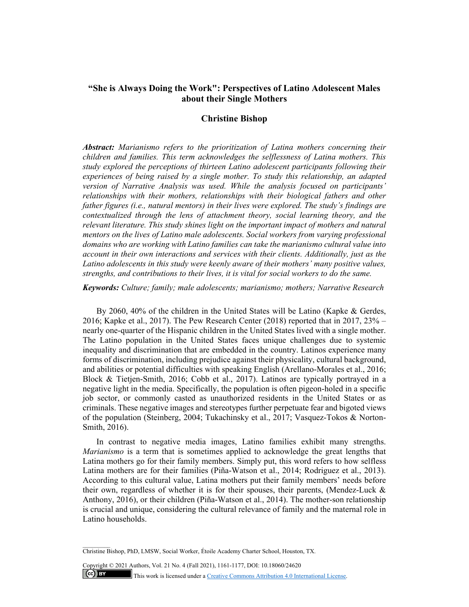# **"She is Always Doing the Work": Perspectives of Latino Adolescent Males about their Single Mothers**

# **Christine Bishop**

*Abstract: Marianismo refers to the prioritization of Latina mothers concerning their children and families. This term acknowledges the selflessness of Latina mothers. This study explored the perceptions of thirteen Latino adolescent participants following their experiences of being raised by a single mother. To study this relationship, an adapted version of Narrative Analysis was used. While the analysis focused on participants' relationships with their mothers, relationships with their biological fathers and other father figures (i.e., natural mentors) in their lives were explored. The study's findings are contextualized through the lens of attachment theory, social learning theory, and the relevant literature. This study shines light on the important impact of mothers and natural mentors on the lives of Latino male adolescents. Social workers from varying professional domains who are working with Latino families can take the marianismo cultural value into account in their own interactions and services with their clients. Additionally, just as the Latino adolescents in this study were keenly aware of their mothers' many positive values, strengths, and contributions to their lives, it is vital for social workers to do the same.* 

*Keywords: Culture; family; male adolescents; marianismo; mothers; Narrative Research* 

By 2060, 40% of the children in the United States will be Latino (Kapke & Gerdes, 2016; Kapke et al., 2017). The Pew Research Center (2018) reported that in 2017, 23% – nearly one-quarter of the Hispanic children in the United States lived with a single mother. The Latino population in the United States faces unique challenges due to systemic inequality and discrimination that are embedded in the country. Latinos experience many forms of discrimination, including prejudice against their physicality, cultural background, and abilities or potential difficulties with speaking English (Arellano-Morales et al., 2016; Block & Tietjen-Smith, 2016; Cobb et al., 2017). Latinos are typically portrayed in a negative light in the media. Specifically, the population is often pigeon-holed in a specific job sector, or commonly casted as unauthorized residents in the United States or as criminals. These negative images and stereotypes further perpetuate fear and bigoted views of the population (Steinberg, 2004; Tukachinsky et al., 2017; Vasquez-Tokos & Norton-Smith, 2016).

In contrast to negative media images, Latino families exhibit many strengths. *Marianismo* is a term that is sometimes applied to acknowledge the great lengths that Latina mothers go for their family members. Simply put, this word refers to how selfless Latina mothers are for their families (Piña-Watson et al., 2014; Rodriguez et al., 2013). According to this cultural value, Latina mothers put their family members' needs before their own, regardless of whether it is for their spouses, their parents, (Mendez-Luck & Anthony, 2016), or their children (Piña-Watson et al., 2014). The mother-son relationship is crucial and unique, considering the cultural relevance of family and the maternal role in Latino households.

Copyright © 2021 Authors, Vol. 21 No. 4 (Fall 2021), 1161-1177, DOI: 10.18060/24620  $(c)$  BY This work is licensed under a Creative Commons Attribution 4.0 International License.

Christine Bishop, PhD, LMSW, Social Worker, Étoile Academy Charter School, Houston, TX.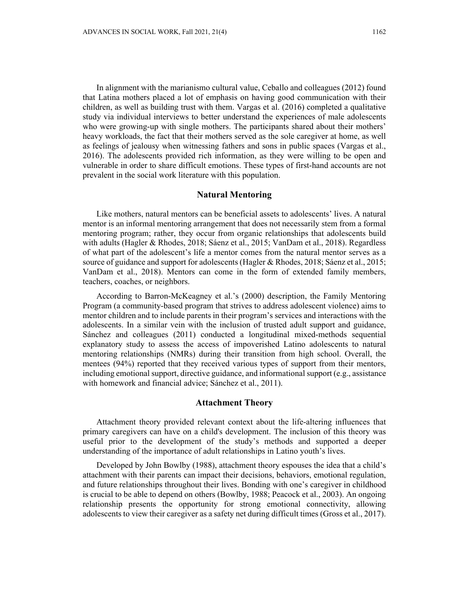In alignment with the marianismo cultural value, Ceballo and colleagues (2012) found that Latina mothers placed a lot of emphasis on having good communication with their children, as well as building trust with them. Vargas et al. (2016) completed a qualitative study via individual interviews to better understand the experiences of male adolescents who were growing-up with single mothers. The participants shared about their mothers' heavy workloads, the fact that their mothers served as the sole caregiver at home, as well as feelings of jealousy when witnessing fathers and sons in public spaces (Vargas et al., 2016). The adolescents provided rich information, as they were willing to be open and vulnerable in order to share difficult emotions. These types of first-hand accounts are not prevalent in the social work literature with this population.

#### **Natural Mentoring**

Like mothers, natural mentors can be beneficial assets to adolescents' lives. A natural mentor is an informal mentoring arrangement that does not necessarily stem from a formal mentoring program; rather, they occur from organic relationships that adolescents build with adults (Hagler & Rhodes, 2018; Sáenz et al., 2015; VanDam et al., 2018). Regardless of what part of the adolescent's life a mentor comes from the natural mentor serves as a source of guidance and support for adolescents (Hagler & Rhodes, 2018; Sáenz et al., 2015; VanDam et al., 2018). Mentors can come in the form of extended family members, teachers, coaches, or neighbors.

According to Barron-McKeagney et al.'s (2000) description, the Family Mentoring Program (a community-based program that strives to address adolescent violence) aims to mentor children and to include parents in their program's services and interactions with the adolescents. In a similar vein with the inclusion of trusted adult support and guidance, Sánchez and colleagues (2011) conducted a longitudinal mixed-methods sequential explanatory study to assess the access of impoverished Latino adolescents to natural mentoring relationships (NMRs) during their transition from high school. Overall, the mentees (94%) reported that they received various types of support from their mentors, including emotional support, directive guidance, and informational support (e.g., assistance with homework and financial advice; Sánchez et al., 2011).

### **Attachment Theory**

Attachment theory provided relevant context about the life-altering influences that primary caregivers can have on a child's development. The inclusion of this theory was useful prior to the development of the study's methods and supported a deeper understanding of the importance of adult relationships in Latino youth's lives.

Developed by John Bowlby (1988), attachment theory espouses the idea that a child's attachment with their parents can impact their decisions, behaviors, emotional regulation, and future relationships throughout their lives. Bonding with one's caregiver in childhood is crucial to be able to depend on others (Bowlby, 1988; Peacock et al., 2003). An ongoing relationship presents the opportunity for strong emotional connectivity, allowing adolescents to view their caregiver as a safety net during difficult times (Gross et al., 2017).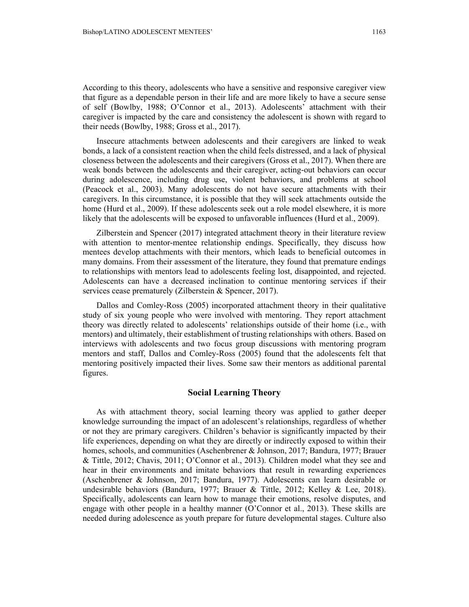According to this theory, adolescents who have a sensitive and responsive caregiver view that figure as a dependable person in their life and are more likely to have a secure sense of self (Bowlby, 1988; O'Connor et al., 2013). Adolescents' attachment with their caregiver is impacted by the care and consistency the adolescent is shown with regard to their needs (Bowlby, 1988; Gross et al., 2017).

Insecure attachments between adolescents and their caregivers are linked to weak bonds, a lack of a consistent reaction when the child feels distressed, and a lack of physical closeness between the adolescents and their caregivers (Gross et al., 2017). When there are weak bonds between the adolescents and their caregiver, acting-out behaviors can occur during adolescence, including drug use, violent behaviors, and problems at school (Peacock et al., 2003). Many adolescents do not have secure attachments with their caregivers. In this circumstance, it is possible that they will seek attachments outside the home (Hurd et al., 2009). If these adolescents seek out a role model elsewhere, it is more likely that the adolescents will be exposed to unfavorable influences (Hurd et al., 2009).

Zilberstein and Spencer (2017) integrated attachment theory in their literature review with attention to mentor-mentee relationship endings. Specifically, they discuss how mentees develop attachments with their mentors, which leads to beneficial outcomes in many domains. From their assessment of the literature, they found that premature endings to relationships with mentors lead to adolescents feeling lost, disappointed, and rejected. Adolescents can have a decreased inclination to continue mentoring services if their services cease prematurely (Zilberstein & Spencer, 2017).

Dallos and Comley-Ross (2005) incorporated attachment theory in their qualitative study of six young people who were involved with mentoring. They report attachment theory was directly related to adolescents' relationships outside of their home (i.e., with mentors) and ultimately, their establishment of trusting relationships with others. Based on interviews with adolescents and two focus group discussions with mentoring program mentors and staff, Dallos and Comley-Ross (2005) found that the adolescents felt that mentoring positively impacted their lives. Some saw their mentors as additional parental figures.

#### **Social Learning Theory**

As with attachment theory, social learning theory was applied to gather deeper knowledge surrounding the impact of an adolescent's relationships, regardless of whether or not they are primary caregivers. Children's behavior is significantly impacted by their life experiences, depending on what they are directly or indirectly exposed to within their homes, schools, and communities (Aschenbrener & Johnson, 2017; Bandura, 1977; Brauer & Tittle, 2012; Chavis, 2011; O'Connor et al., 2013). Children model what they see and hear in their environments and imitate behaviors that result in rewarding experiences (Aschenbrener & Johnson, 2017; Bandura, 1977). Adolescents can learn desirable or undesirable behaviors (Bandura, 1977; Brauer & Tittle, 2012; Kelley & Lee, 2018). Specifically, adolescents can learn how to manage their emotions, resolve disputes, and engage with other people in a healthy manner (O'Connor et al., 2013). These skills are needed during adolescence as youth prepare for future developmental stages. Culture also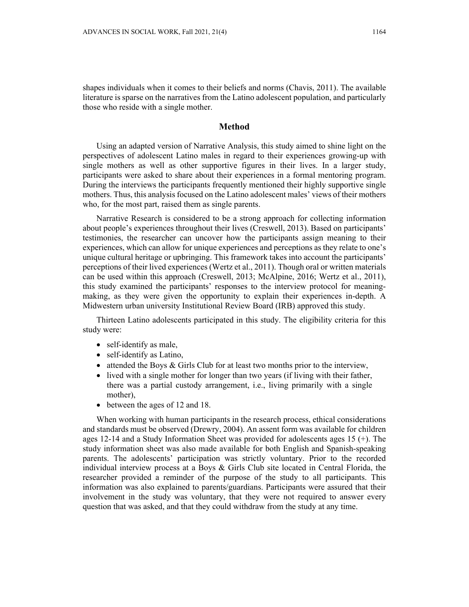shapes individuals when it comes to their beliefs and norms (Chavis, 2011). The available literature is sparse on the narratives from the Latino adolescent population, and particularly those who reside with a single mother.

# **Method**

Using an adapted version of Narrative Analysis, this study aimed to shine light on the perspectives of adolescent Latino males in regard to their experiences growing-up with single mothers as well as other supportive figures in their lives. In a larger study, participants were asked to share about their experiences in a formal mentoring program. During the interviews the participants frequently mentioned their highly supportive single mothers. Thus, this analysis focused on the Latino adolescent males' views of their mothers who, for the most part, raised them as single parents.

Narrative Research is considered to be a strong approach for collecting information about people's experiences throughout their lives (Creswell, 2013). Based on participants' testimonies, the researcher can uncover how the participants assign meaning to their experiences, which can allow for unique experiences and perceptions as they relate to one's unique cultural heritage or upbringing. This framework takes into account the participants' perceptions of their lived experiences (Wertz et al., 2011). Though oral or written materials can be used within this approach (Creswell, 2013; McAlpine, 2016; Wertz et al., 2011), this study examined the participants' responses to the interview protocol for meaningmaking, as they were given the opportunity to explain their experiences in-depth. A Midwestern urban university Institutional Review Board (IRB) approved this study.

Thirteen Latino adolescents participated in this study. The eligibility criteria for this study were:

- self-identify as male,
- self-identify as Latino,
- attended the Boys & Girls Club for at least two months prior to the interview,
- lived with a single mother for longer than two years (if living with their father, there was a partial custody arrangement, i.e., living primarily with a single mother),
- between the ages of 12 and 18.

When working with human participants in the research process, ethical considerations and standards must be observed (Drewry, 2004). An assent form was available for children ages 12-14 and a Study Information Sheet was provided for adolescents ages 15 (+). The study information sheet was also made available for both English and Spanish-speaking parents. The adolescents' participation was strictly voluntary. Prior to the recorded individual interview process at a Boys & Girls Club site located in Central Florida, the researcher provided a reminder of the purpose of the study to all participants. This information was also explained to parents/guardians. Participants were assured that their involvement in the study was voluntary, that they were not required to answer every question that was asked, and that they could withdraw from the study at any time.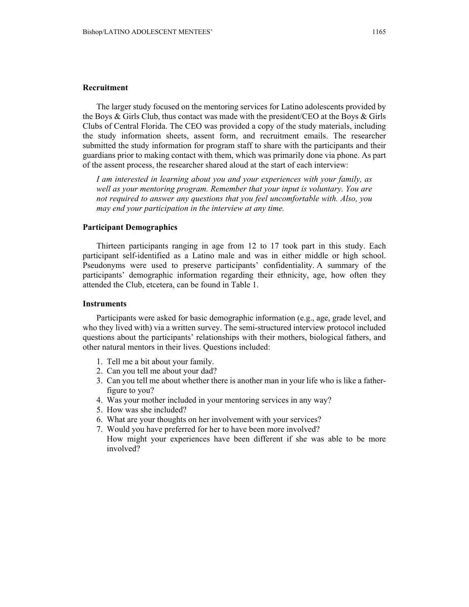# **Recruitment**

The larger study focused on the mentoring services for Latino adolescents provided by the Boys  $\&$  Girls Club, thus contact was made with the president/CEO at the Boys  $\&$  Girls Clubs of Central Florida. The CEO was provided a copy of the study materials, including the study information sheets, assent form, and recruitment emails. The researcher submitted the study information for program staff to share with the participants and their guardians prior to making contact with them, which was primarily done via phone. As part of the assent process, the researcher shared aloud at the start of each interview:

*I am interested in learning about you and your experiences with your family, as well as your mentoring program. Remember that your input is voluntary. You are not required to answer any questions that you feel uncomfortable with. Also, you may end your participation in the interview at any time.* 

### **Participant Demographics**

Thirteen participants ranging in age from 12 to 17 took part in this study. Each participant self-identified as a Latino male and was in either middle or high school. Pseudonyms were used to preserve participants' confidentiality. A summary of the participants' demographic information regarding their ethnicity, age, how often they attended the Club, etcetera, can be found in Table 1.

#### **Instruments**

Participants were asked for basic demographic information (e.g., age, grade level, and who they lived with) via a written survey. The semi-structured interview protocol included questions about the participants' relationships with their mothers, biological fathers, and other natural mentors in their lives. Questions included:

- 1. Tell me a bit about your family.
- 2. Can you tell me about your dad?
- 3. Can you tell me about whether there is another man in your life who is like a fatherfigure to you?
- 4. Was your mother included in your mentoring services in any way?
- 5. How was she included?
- 6. What are your thoughts on her involvement with your services?
- 7. Would you have preferred for her to have been more involved? How might your experiences have been different if she was able to be more involved?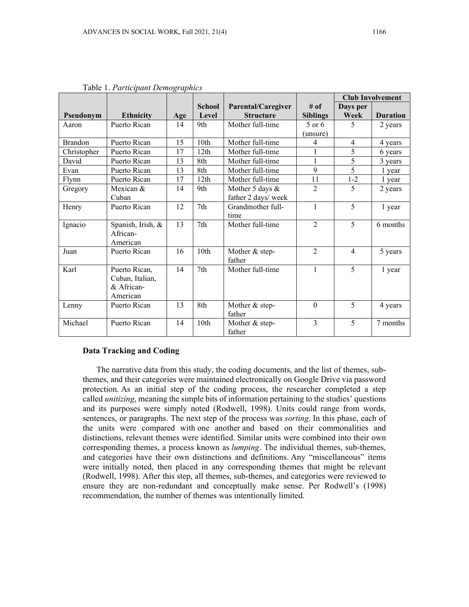|                |                                                            |     |                        |                                        |                         | <b>Club Involvement</b> |                 |
|----------------|------------------------------------------------------------|-----|------------------------|----------------------------------------|-------------------------|-------------------------|-----------------|
| Pseudonym      | <b>Ethnicity</b>                                           | Age | <b>School</b><br>Level | Parental/Caregiver<br><b>Structure</b> | # of<br><b>Siblings</b> | Days per<br>Week        | <b>Duration</b> |
| Aaron          | Puerto Rican                                               | 14  | 9th                    | Mother full-time                       | $5$ or 6<br>(unsure)    | 5                       | 2 years         |
| <b>Brandon</b> | Puerto Rican                                               | 15  | 10th                   | Mother full-time                       | 4                       | $\overline{4}$          | 4 years         |
| Christopher    | Puerto Rican                                               | 17  | 12th                   | Mother full-time                       | $\mathbf{1}$            | 5                       | 6 years         |
| David          | Puerto Rican                                               | 13  | 8th                    | Mother full-time                       | $\mathbf{1}$            | 5                       | 3 years         |
| Evan           | Puerto Rican                                               | 13  | 8th                    | Mother full-time                       | 9                       | $\overline{5}$          | 1 year          |
| Flynn          | Puerto Rican                                               | 17  | 12th                   | Mother full-time                       | 11                      | $1-2$                   | 1 year          |
| Gregory        | Mexican &<br>Cuban                                         | 14  | 9th                    | Mother 5 days &<br>father 2 days/ week | $\overline{2}$          | 5                       | 2 years         |
| Henry          | Puerto Rican                                               | 12  | 7th                    | Grandmother full-<br>time              | 1                       | 5                       | 1 year          |
| Ignacio        | Spanish, Irish, &<br>African-<br>American                  | 13  | 7th                    | Mother full-time                       | $\overline{2}$          | 5                       | 6 months        |
| Juan           | Puerto Rican                                               | 16  | 10th                   | Mother & step-<br>father               | $\overline{2}$          | $\overline{4}$          | 5 years         |
| Karl           | Puerto Rican,<br>Cuban, Italian,<br>& African-<br>American | 14  | 7th                    | Mother full-time                       | $\mathbf{1}$            | 5                       | 1 year          |
| Lenny          | Puerto Rican                                               | 13  | 8th                    | Mother & step-<br>father               | $\mathbf{0}$            | 5                       | 4 years         |
| Michael        | Puerto Rican                                               | 14  | 10th                   | Mother & step-<br>father               | 3                       | 5                       | 7 months        |

Table 1. *Participant Demographics* 

### **Data Tracking and Coding**

The narrative data from this study, the coding documents, and the list of themes, subthemes, and their categories were maintained electronically on Google Drive via password protection. As an initial step of the coding process, the researcher completed a step called *unitizing*, meaning the simple bits of information pertaining to the studies' questions and its purposes were simply noted (Rodwell, 1998). Units could range from words, sentences, or paragraphs. The next step of the process was *sorting.* In this phase, each of the units were compared with one another and based on their commonalities and distinctions, relevant themes were identified. Similar units were combined into their own corresponding themes, a process known as *lumping*. The individual themes, sub-themes, and categories have their own distinctions and definitions. Any "miscellaneous" items were initially noted, then placed in any corresponding themes that might be relevant (Rodwell, 1998). After this step, all themes, sub-themes, and categories were reviewed to ensure they are non-redundant and conceptually make sense. Per Rodwell's (1998) recommendation, the number of themes was intentionally limited.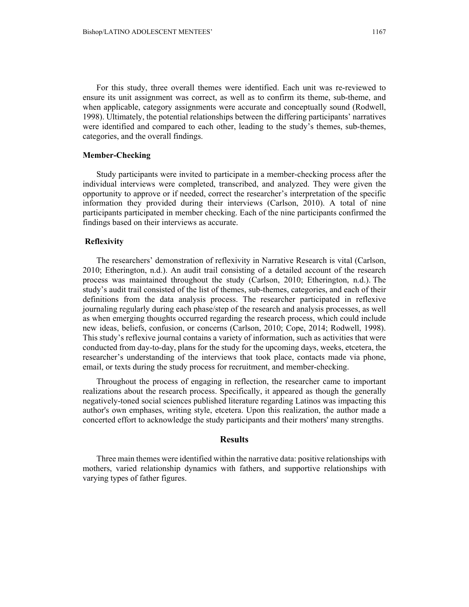For this study, three overall themes were identified. Each unit was re-reviewed to ensure its unit assignment was correct, as well as to confirm its theme, sub-theme, and when applicable, category assignments were accurate and conceptually sound (Rodwell, 1998). Ultimately, the potential relationships between the differing participants' narratives were identified and compared to each other, leading to the study's themes, sub-themes, categories, and the overall findings.

### **Member-Checking**

Study participants were invited to participate in a member-checking process after the individual interviews were completed, transcribed, and analyzed. They were given the opportunity to approve or if needed, correct the researcher's interpretation of the specific information they provided during their interviews (Carlson, 2010). A total of nine participants participated in member checking. Each of the nine participants confirmed the findings based on their interviews as accurate.

### **Reflexivity**

The researchers' demonstration of reflexivity in Narrative Research is vital (Carlson, 2010; Etherington, n.d.). An audit trail consisting of a detailed account of the research process was maintained throughout the study (Carlson, 2010; Etherington, n.d.). The study's audit trail consisted of the list of themes, sub-themes, categories, and each of their definitions from the data analysis process. The researcher participated in reflexive journaling regularly during each phase/step of the research and analysis processes, as well as when emerging thoughts occurred regarding the research process, which could include new ideas, beliefs, confusion, or concerns (Carlson, 2010; Cope, 2014; Rodwell, 1998). This study's reflexive journal contains a variety of information, such as activities that were conducted from day-to-day, plans for the study for the upcoming days, weeks, etcetera, the researcher's understanding of the interviews that took place, contacts made via phone, email, or texts during the study process for recruitment, and member-checking.

Throughout the process of engaging in reflection, the researcher came to important realizations about the research process. Specifically, it appeared as though the generally negatively-toned social sciences published literature regarding Latinos was impacting this author's own emphases, writing style, etcetera. Upon this realization, the author made a concerted effort to acknowledge the study participants and their mothers' many strengths.

# **Results**

Three main themes were identified within the narrative data: positive relationships with mothers, varied relationship dynamics with fathers, and supportive relationships with varying types of father figures.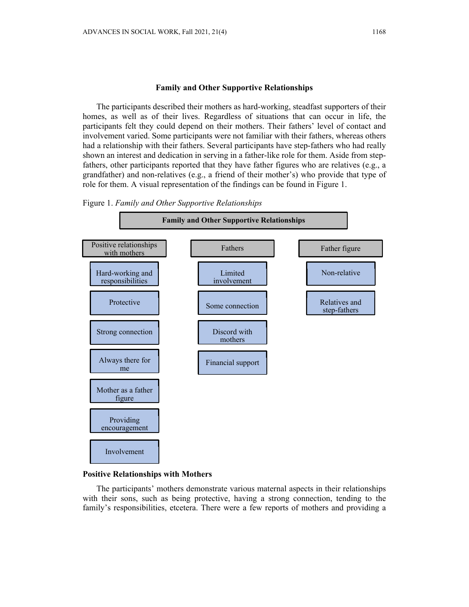#### **Family and Other Supportive Relationships**

The participants described their mothers as hard-working, steadfast supporters of their homes, as well as of their lives. Regardless of situations that can occur in life, the participants felt they could depend on their mothers. Their fathers' level of contact and involvement varied. Some participants were not familiar with their fathers, whereas others had a relationship with their fathers. Several participants have step-fathers who had really shown an interest and dedication in serving in a father-like role for them. Aside from stepfathers, other participants reported that they have father figures who are relatives (e.g., a grandfather) and non-relatives (e.g., a friend of their mother's) who provide that type of role for them. A visual representation of the findings can be found in Figure 1.

### Figure 1. *Family and Other Supportive Relationships*



### **Positive Relationships with Mothers**

The participants' mothers demonstrate various maternal aspects in their relationships with their sons, such as being protective, having a strong connection, tending to the family's responsibilities, etcetera. There were a few reports of mothers and providing a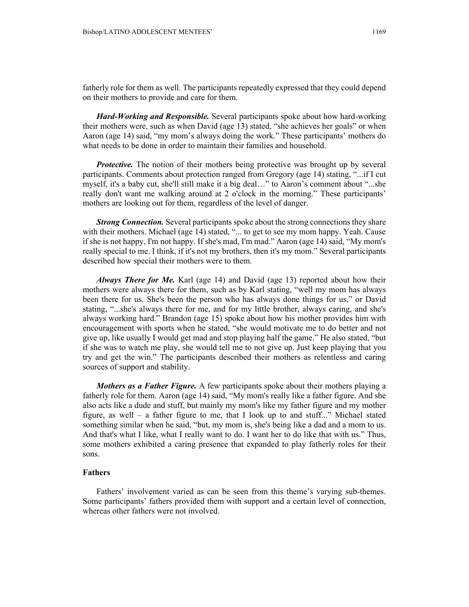fatherly role for them as well. The participants repeatedly expressed that they could depend on their mothers to provide and care for them.

*Hard-Working and Responsible.* Several participants spoke about how hard-working their mothers were, such as when David (age 13) stated, "she achieves her goals" or when Aaron (age 14) said, "my mom's always doing the work." These participants' mothers do what needs to be done in order to maintain their families and household.

*Protective*. The notion of their mothers being protective was brought up by several participants. Comments about protection ranged from Gregory (age 14) stating, "...if I cut myself, it's a baby cut, she'll still make it a big deal…" to Aaron's comment about "...she really don't want me walking around at 2 o'clock in the morning." These participants' mothers are looking out for them, regardless of the level of danger.

*Strong Connection.* Several participants spoke about the strong connections they share with their mothers. Michael (age 14) stated, "... to get to see my mom happy. Yeah. Cause if she is not happy, I'm not happy. If she's mad, I'm mad." Aaron (age 14) said, "My mom's really special to me. I think, if it's not my brothers, then it's my mom." Several participants described how special their mothers were to them.

*Always There for Me.* Karl (age 14) and David (age 13) reported about how their mothers were always there for them, such as by Karl stating, "well my mom has always been there for us. She's been the person who has always done things for us," or David stating, "...she's always there for me, and for my little brother, always caring, and she's always working hard." Brandon (age 15) spoke about how his mother provides him with encouragement with sports when he stated, "she would motivate me to do better and not give up, like usually I would get mad and stop playing half the game." He also stated, "but if she was to watch me play, she would tell me to not give up. Just keep playing that you try and get the win." The participants described their mothers as relentless and caring sources of support and stability.

*Mothers as a Father Figure.* A few participants spoke about their mothers playing a fatherly role for them. Aaron (age 14) said, "My mom's really like a father figure. And she also acts like a dude and stuff, but mainly my mom's like my father figure and my mother figure, as well – a father figure to me, that I look up to and stuff..." Michael stated something similar when he said, "but, my mom is, she's being like a dad and a mom to us. And that's what I like, what I really want to do. I want her to do like that with us." Thus, some mothers exhibited a caring presence that expanded to play fatherly roles for their sons.

### **Fathers**

Fathers' involvement varied as can be seen from this theme's varying sub-themes. Some participants' fathers provided them with support and a certain level of connection, whereas other fathers were not involved.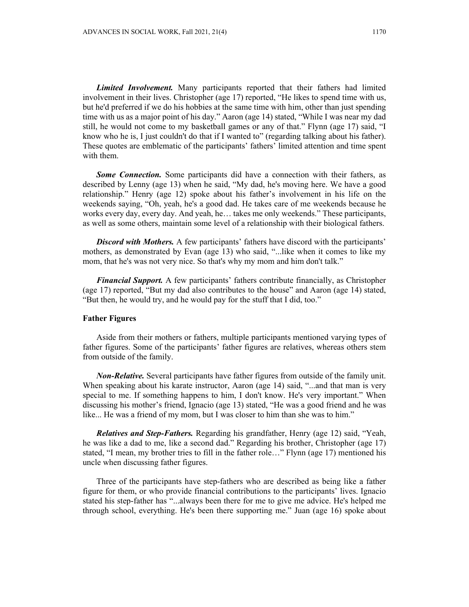*Limited Involvement.* Many participants reported that their fathers had limited involvement in their lives. Christopher (age 17) reported, "He likes to spend time with us, but he'd preferred if we do his hobbies at the same time with him, other than just spending time with us as a major point of his day." Aaron (age 14) stated, "While I was near my dad still, he would not come to my basketball games or any of that." Flynn (age 17) said, "I know who he is, I just couldn't do that if I wanted to" (regarding talking about his father). These quotes are emblematic of the participants' fathers' limited attention and time spent with them.

*Some Connection.* Some participants did have a connection with their fathers, as described by Lenny (age 13) when he said, "My dad, he's moving here. We have a good relationship." Henry (age 12) spoke about his father's involvement in his life on the weekends saying, "Oh, yeah, he's a good dad. He takes care of me weekends because he works every day, every day. And yeah, he… takes me only weekends." These participants, as well as some others, maintain some level of a relationship with their biological fathers.

*Discord with Mothers.* A few participants' fathers have discord with the participants' mothers, as demonstrated by Evan (age 13) who said, "...like when it comes to like my mom, that he's was not very nice. So that's why my mom and him don't talk."

*Financial Support.* A few participants' fathers contribute financially, as Christopher (age 17) reported, "But my dad also contributes to the house" and Aaron (age 14) stated, "But then, he would try, and he would pay for the stuff that I did, too."

### **Father Figures**

Aside from their mothers or fathers, multiple participants mentioned varying types of father figures. Some of the participants' father figures are relatives, whereas others stem from outside of the family.

*Non-Relative.* Several participants have father figures from outside of the family unit. When speaking about his karate instructor, Aaron (age 14) said, "...and that man is very special to me. If something happens to him, I don't know. He's very important." When discussing his mother's friend, Ignacio (age 13) stated, "He was a good friend and he was like... He was a friend of my mom, but I was closer to him than she was to him."

*Relatives and Step-Fathers.* Regarding his grandfather, Henry (age 12) said, "Yeah, he was like a dad to me, like a second dad." Regarding his brother, Christopher (age 17) stated, "I mean, my brother tries to fill in the father role…" Flynn (age 17) mentioned his uncle when discussing father figures.

Three of the participants have step-fathers who are described as being like a father figure for them, or who provide financial contributions to the participants' lives. Ignacio stated his step-father has "...always been there for me to give me advice. He's helped me through school, everything. He's been there supporting me." Juan (age 16) spoke about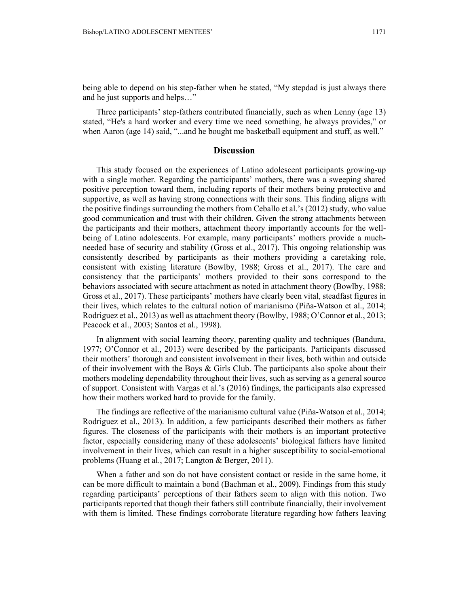being able to depend on his step-father when he stated, "My stepdad is just always there and he just supports and helps…"

Three participants' step-fathers contributed financially, such as when Lenny (age 13) stated, "He's a hard worker and every time we need something, he always provides," or when Aaron (age 14) said, "...and he bought me basketball equipment and stuff, as well."

#### **Discussion**

This study focused on the experiences of Latino adolescent participants growing-up with a single mother. Regarding the participants' mothers, there was a sweeping shared positive perception toward them, including reports of their mothers being protective and supportive, as well as having strong connections with their sons. This finding aligns with the positive findings surrounding the mothers from Ceballo et al.'s (2012) study, who value good communication and trust with their children. Given the strong attachments between the participants and their mothers, attachment theory importantly accounts for the wellbeing of Latino adolescents. For example, many participants' mothers provide a muchneeded base of security and stability (Gross et al., 2017). This ongoing relationship was consistently described by participants as their mothers providing a caretaking role, consistent with existing literature (Bowlby, 1988; Gross et al., 2017). The care and consistency that the participants' mothers provided to their sons correspond to the behaviors associated with secure attachment as noted in attachment theory (Bowlby, 1988; Gross et al., 2017). These participants' mothers have clearly been vital, steadfast figures in their lives, which relates to the cultural notion of marianismo (Piña-Watson et al., 2014; Rodriguez et al., 2013) as well as attachment theory (Bowlby, 1988; O'Connor et al., 2013; Peacock et al., 2003; Santos et al., 1998).

In alignment with social learning theory, parenting quality and techniques (Bandura, 1977; O'Connor et al., 2013) were described by the participants. Participants discussed their mothers' thorough and consistent involvement in their lives, both within and outside of their involvement with the Boys  $\&$  Girls Club. The participants also spoke about their mothers modeling dependability throughout their lives, such as serving as a general source of support. Consistent with Vargas et al.'s (2016) findings, the participants also expressed how their mothers worked hard to provide for the family.

The findings are reflective of the marianismo cultural value (Piña-Watson et al., 2014; Rodriguez et al., 2013). In addition, a few participants described their mothers as father figures. The closeness of the participants with their mothers is an important protective factor, especially considering many of these adolescents' biological fathers have limited involvement in their lives, which can result in a higher susceptibility to social-emotional problems (Huang et al., 2017; Langton & Berger, 2011).

When a father and son do not have consistent contact or reside in the same home, it can be more difficult to maintain a bond (Bachman et al., 2009). Findings from this study regarding participants' perceptions of their fathers seem to align with this notion. Two participants reported that though their fathers still contribute financially, their involvement with them is limited. These findings corroborate literature regarding how fathers leaving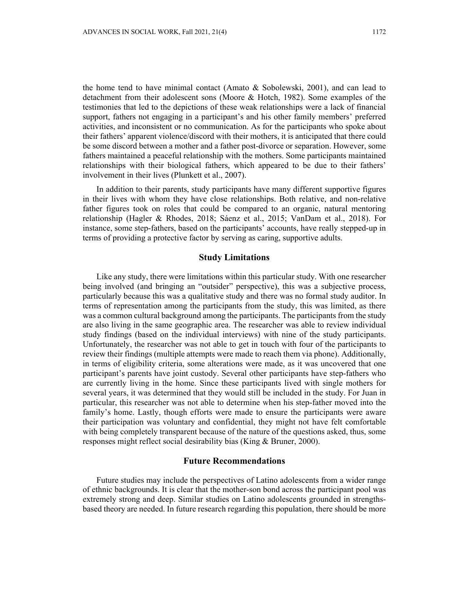the home tend to have minimal contact (Amato  $\&$  Sobolewski, 2001), and can lead to detachment from their adolescent sons (Moore & Hotch, 1982). Some examples of the testimonies that led to the depictions of these weak relationships were a lack of financial support, fathers not engaging in a participant's and his other family members' preferred activities, and inconsistent or no communication. As for the participants who spoke about their fathers' apparent violence/discord with their mothers, it is anticipated that there could be some discord between a mother and a father post-divorce or separation. However, some fathers maintained a peaceful relationship with the mothers. Some participants maintained relationships with their biological fathers, which appeared to be due to their fathers' involvement in their lives (Plunkett et al., 2007).

In addition to their parents, study participants have many different supportive figures in their lives with whom they have close relationships. Both relative, and non-relative father figures took on roles that could be compared to an organic, natural mentoring relationship (Hagler & Rhodes, 2018; Sáenz et al., 2015; VanDam et al., 2018). For instance, some step-fathers, based on the participants' accounts, have really stepped-up in terms of providing a protective factor by serving as caring, supportive adults.

# **Study Limitations**

Like any study, there were limitations within this particular study. With one researcher being involved (and bringing an "outsider" perspective), this was a subjective process, particularly because this was a qualitative study and there was no formal study auditor. In terms of representation among the participants from the study, this was limited, as there was a common cultural background among the participants. The participants from the study are also living in the same geographic area. The researcher was able to review individual study findings (based on the individual interviews) with nine of the study participants. Unfortunately, the researcher was not able to get in touch with four of the participants to review their findings (multiple attempts were made to reach them via phone). Additionally, in terms of eligibility criteria, some alterations were made, as it was uncovered that one participant's parents have joint custody. Several other participants have step-fathers who are currently living in the home. Since these participants lived with single mothers for several years, it was determined that they would still be included in the study. For Juan in particular, this researcher was not able to determine when his step-father moved into the family's home. Lastly, though efforts were made to ensure the participants were aware their participation was voluntary and confidential, they might not have felt comfortable with being completely transparent because of the nature of the questions asked, thus, some responses might reflect social desirability bias (King & Bruner, 2000).

#### **Future Recommendations**

Future studies may include the perspectives of Latino adolescents from a wider range of ethnic backgrounds. It is clear that the mother-son bond across the participant pool was extremely strong and deep. Similar studies on Latino adolescents grounded in strengthsbased theory are needed. In future research regarding this population, there should be more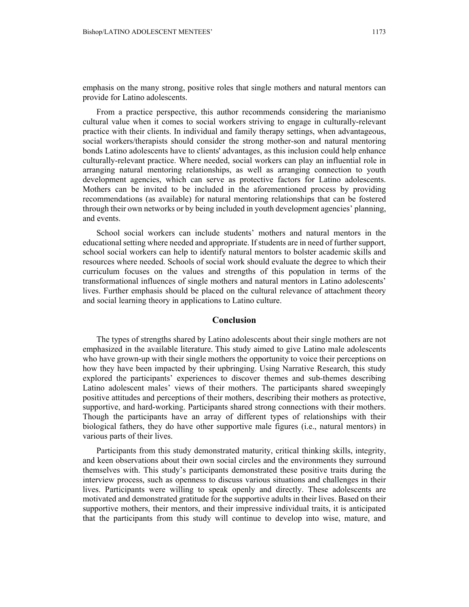emphasis on the many strong, positive roles that single mothers and natural mentors can provide for Latino adolescents.

From a practice perspective, this author recommends considering the marianismo cultural value when it comes to social workers striving to engage in culturally-relevant practice with their clients. In individual and family therapy settings, when advantageous, social workers/therapists should consider the strong mother-son and natural mentoring bonds Latino adolescents have to clients' advantages, as this inclusion could help enhance culturally-relevant practice. Where needed, social workers can play an influential role in arranging natural mentoring relationships, as well as arranging connection to youth development agencies, which can serve as protective factors for Latino adolescents. Mothers can be invited to be included in the aforementioned process by providing recommendations (as available) for natural mentoring relationships that can be fostered through their own networks or by being included in youth development agencies' planning, and events.

School social workers can include students' mothers and natural mentors in the educational setting where needed and appropriate. If students are in need of further support, school social workers can help to identify natural mentors to bolster academic skills and resources where needed. Schools of social work should evaluate the degree to which their curriculum focuses on the values and strengths of this population in terms of the transformational influences of single mothers and natural mentors in Latino adolescents' lives. Further emphasis should be placed on the cultural relevance of attachment theory and social learning theory in applications to Latino culture.

### **Conclusion**

The types of strengths shared by Latino adolescents about their single mothers are not emphasized in the available literature. This study aimed to give Latino male adolescents who have grown-up with their single mothers the opportunity to voice their perceptions on how they have been impacted by their upbringing. Using Narrative Research, this study explored the participants' experiences to discover themes and sub-themes describing Latino adolescent males' views of their mothers. The participants shared sweepingly positive attitudes and perceptions of their mothers, describing their mothers as protective, supportive, and hard-working. Participants shared strong connections with their mothers. Though the participants have an array of different types of relationships with their biological fathers, they do have other supportive male figures (i.e., natural mentors) in various parts of their lives.

Participants from this study demonstrated maturity, critical thinking skills, integrity, and keen observations about their own social circles and the environments they surround themselves with. This study's participants demonstrated these positive traits during the interview process, such as openness to discuss various situations and challenges in their lives. Participants were willing to speak openly and directly. These adolescents are motivated and demonstrated gratitude for the supportive adults in their lives. Based on their supportive mothers, their mentors, and their impressive individual traits, it is anticipated that the participants from this study will continue to develop into wise, mature, and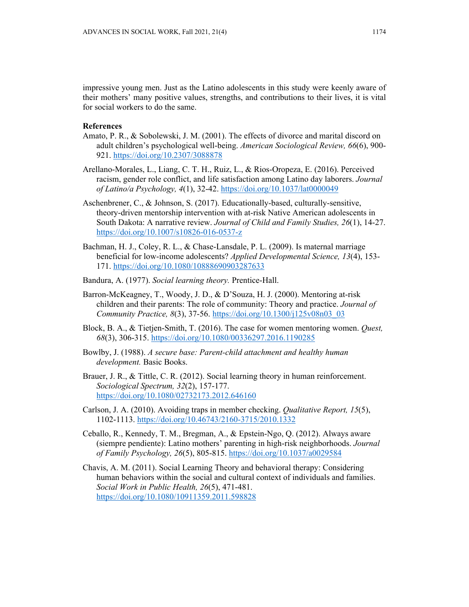impressive young men. Just as the Latino adolescents in this study were keenly aware of their mothers' many positive values, strengths, and contributions to their lives, it is vital for social workers to do the same.

# **References**

- Amato, P. R., & Sobolewski, J. M. (2001). The effects of divorce and marital discord on adult children's psychological well-being. *American Sociological Review, 66*(6), 900- 921. https://doi.org/10.2307/3088878
- Arellano-Morales, L., Liang, C. T. H., Ruiz, L., & Rios-Oropeza, E. (2016). Perceived racism, gender role conflict, and life satisfaction among Latino day laborers. *Journal of Latino/a Psychology, 4*(1), 32-42. https://doi.org/10.1037/lat0000049
- Aschenbrener, C., & Johnson, S. (2017). Educationally-based, culturally-sensitive, theory-driven mentorship intervention with at-risk Native American adolescents in South Dakota: A narrative review. *Journal of Child and Family Studies, 26*(1), 14-27. https://doi.org/10.1007/s10826-016-0537-z
- Bachman, H. J., Coley, R. L., & Chase-Lansdale, P. L. (2009). Is maternal marriage beneficial for low-income adolescents? *Applied Developmental Science, 13*(4), 153- 171. https://doi.org/10.1080/10888690903287633
- Bandura, A. (1977). *Social learning theory.* Prentice-Hall.
- Barron-McKeagney, T., Woody, J. D., & D'Souza, H. J. (2000). Mentoring at-risk children and their parents: The role of community: Theory and practice. *Journal of Community Practice, 8*(3), 37-56. https://doi.org/10.1300/j125v08n03\_03
- Block, B. A., & Tietjen-Smith, T. (2016). The case for women mentoring women. *Quest, 68*(3), 306-315. https://doi.org/10.1080/00336297.2016.1190285
- Bowlby, J. (1988). *A secure base: Parent-child attachment and healthy human development.* Basic Books.
- Brauer, J. R., & Tittle, C. R. (2012). Social learning theory in human reinforcement. *Sociological Spectrum, 32*(2), 157-177. https://doi.org/10.1080/02732173.2012.646160
- Carlson, J. A. (2010). Avoiding traps in member checking. *Qualitative Report, 15*(5), 1102-1113. https://doi.org/10.46743/2160-3715/2010.1332
- Ceballo, R., Kennedy, T. M., Bregman, A., & Epstein-Ngo, Q. (2012). Always aware (siempre pendiente): Latino mothers' parenting in high-risk neighborhoods. *Journal of Family Psychology, 26*(5), 805-815. https://doi.org/10.1037/a0029584
- Chavis, A. M. (2011). Social Learning Theory and behavioral therapy: Considering human behaviors within the social and cultural context of individuals and families. *Social Work in Public Health, 26*(5), 471-481. https://doi.org/10.1080/10911359.2011.598828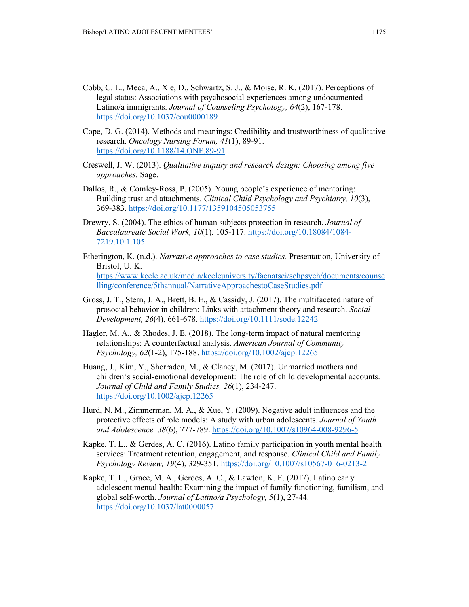- Cobb, C. L., Meca, A., Xie, D., Schwartz, S. J., & Moise, R. K. (2017). Perceptions of legal status: Associations with psychosocial experiences among undocumented Latino/a immigrants. *Journal of Counseling Psychology, 64*(2), 167-178. https://doi.org/10.1037/cou0000189
- Cope, D. G. (2014). Methods and meanings: Credibility and trustworthiness of qualitative research. *Oncology Nursing Forum, 41*(1), 89-91. https://doi.org/10.1188/14.ONF.89-91
- Creswell, J. W. (2013). *Qualitative inquiry and research design: Choosing among five approaches.* Sage.
- Dallos, R., & Comley-Ross, P. (2005). Young people's experience of mentoring: Building trust and attachments. *Clinical Child Psychology and Psychiatry, 10*(3), 369-383. https://doi.org/10.1177/1359104505053755
- Drewry, S. (2004). The ethics of human subjects protection in research. *Journal of Baccalaureate Social Work, 10*(1), 105-117. https://doi.org/10.18084/1084- 7219.10.1.105
- Etherington, K. (n.d.). *Narrative approaches to case studies.* Presentation, University of Bristol, U. K. https://www.keele.ac.uk/media/keeleuniversity/facnatsci/schpsych/documents/counse lling/conference/5thannual/NarrativeApproachestoCaseStudies.pdf
- Gross, J. T., Stern, J. A., Brett, B. E., & Cassidy, J. (2017). The multifaceted nature of prosocial behavior in children: Links with attachment theory and research. *Social Development, 26*(4), 661-678. https://doi.org/10.1111/sode.12242
- Hagler, M. A., & Rhodes, J. E. (2018). The long-term impact of natural mentoring relationships: A counterfactual analysis. *American Journal of Community Psychology, 62*(1-2), 175-188. https://doi.org/10.1002/ajcp.12265
- Huang, J., Kim, Y., Sherraden, M., & Clancy, M. (2017). Unmarried mothers and children's social-emotional development: The role of child developmental accounts. *Journal of Child and Family Studies, 26*(1), 234-247. https://doi.org/10.1002/ajcp.12265
- Hurd, N. M., Zimmerman, M. A., & Xue, Y. (2009). Negative adult influences and the protective effects of role models: A study with urban adolescents. *Journal of Youth and Adolescence, 38*(6), 777-789. https://doi.org/10.1007/s10964-008-9296-5
- Kapke, T. L., & Gerdes, A. C. (2016). Latino family participation in youth mental health services: Treatment retention, engagement, and response. *Clinical Child and Family Psychology Review, 19*(4), 329-351. https://doi.org/10.1007/s10567-016-0213-2
- Kapke, T. L., Grace, M. A., Gerdes, A. C., & Lawton, K. E. (2017). Latino early adolescent mental health: Examining the impact of family functioning, familism, and global self-worth. *Journal of Latino/a Psychology, 5*(1), 27-44. https://doi.org/10.1037/lat0000057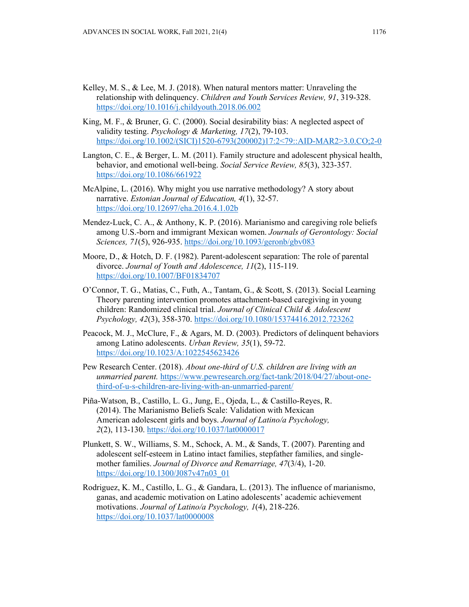- Kelley, M. S., & Lee, M. J. (2018). When natural mentors matter: Unraveling the relationship with delinquency. *Children and Youth Services Review, 91*, 319-328. https://doi.org/10.1016/j.childyouth.2018.06.002
- King, M. F., & Bruner, G. C. (2000). Social desirability bias: A neglected aspect of validity testing. *Psychology & Marketing, 17*(2), 79-103. https://doi.org/10.1002/(SICI)1520-6793(200002)17:2<79::AID-MAR2>3.0.CO;2-0
- Langton, C. E., & Berger, L. M. (2011). Family structure and adolescent physical health, behavior, and emotional well-being. *Social Service Review, 85*(3), 323-357. https://doi.org/10.1086/661922
- McAlpine, L. (2016). Why might you use narrative methodology? A story about narrative. *Estonian Journal of Education, 4*(1), 32-57. https://doi.org/10.12697/eha.2016.4.1.02b
- Mendez-Luck, C. A., & Anthony, K. P. (2016). Marianismo and caregiving role beliefs among U.S.-born and immigrant Mexican women. *Journals of Gerontology: Social Sciences, 71*(5), 926-935. https://doi.org/10.1093/geronb/gbv083
- Moore, D., & Hotch, D. F. (1982). Parent-adolescent separation: The role of parental divorce. *Journal of Youth and Adolescence, 11*(2), 115-119. https://doi.org/10.1007/BF01834707
- O'Connor, T. G., Matias, C., Futh, A., Tantam, G., & Scott, S. (2013). Social Learning Theory parenting intervention promotes attachment-based caregiving in young children: Randomized clinical trial. *Journal of Clinical Child & Adolescent Psychology, 42*(3), 358-370. https://doi.org/10.1080/15374416.2012.723262
- Peacock, M. J., McClure, F., & Agars, M. D. (2003). Predictors of delinquent behaviors among Latino adolescents. *Urban Review, 35*(1), 59-72. https://doi.org/10.1023/A:1022545623426
- Pew Research Center. (2018). *About one-third of U.S. children are living with an unmarried parent.* https://www.pewresearch.org/fact-tank/2018/04/27/about-onethird-of-u-s-children-are-living-with-an-unmarried-parent/
- Piña-Watson, B., Castillo, L. G., Jung, E., Ojeda, L., & Castillo-Reyes, R. (2014). The Marianismo Beliefs Scale: Validation with Mexican American adolescent girls and boys. *Journal of Latino/a Psychology, 2*(2), 113-130. https://doi.org/10.1037/lat0000017
- Plunkett, S. W., Williams, S. M., Schock, A. M., & Sands, T. (2007). Parenting and adolescent self-esteem in Latino intact families, stepfather families, and singlemother families. *Journal of Divorce and Remarriage, 47*(3/4), 1-20. https://doi.org/10.1300/J087v47n03\_01
- Rodriguez, K. M., Castillo, L. G., & Gandara, L. (2013). The influence of marianismo, ganas, and academic motivation on Latino adolescents' academic achievement motivations. *Journal of Latino/a Psychology, 1*(4), 218-226. https://doi.org/10.1037/lat0000008